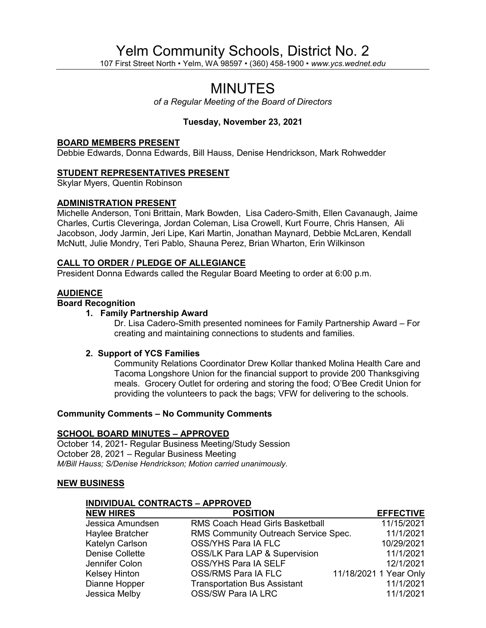# Yelm Community Schools, District No. 2

107 First Street North • Yelm, WA 98597 • (360) 458-1900 • *www.ycs.wednet.edu*

## MINUTES

*of a Regular Meeting of the Board of Directors*

## **Tuesday, November 23, 2021**

#### **BOARD MEMBERS PRESENT**

Debbie Edwards, Donna Edwards, Bill Hauss, Denise Hendrickson, Mark Rohwedder

## **STUDENT REPRESENTATIVES PRESENT**

Skylar Myers, Quentin Robinson

## **ADMINISTRATION PRESENT**

Michelle Anderson, Toni Brittain, Mark Bowden, Lisa Cadero-Smith, Ellen Cavanaugh, Jaime Charles, Curtis Cleveringa, Jordan Coleman, Lisa Crowell, Kurt Fourre, Chris Hansen, Ali Jacobson, Jody Jarmin, Jeri Lipe, Kari Martin, Jonathan Maynard, Debbie McLaren, Kendall McNutt, Julie Mondry, Teri Pablo, Shauna Perez, Brian Wharton, Erin Wilkinson

## **CALL TO ORDER / PLEDGE OF ALLEGIANCE**

President Donna Edwards called the Regular Board Meeting to order at 6:00 p.m.

## **AUDIENCE**

## **Board Recognition**

## **1. Family Partnership Award**

Dr. Lisa Cadero-Smith presented nominees for Family Partnership Award – For creating and maintaining connections to students and families.

## **2. Support of YCS Families**

Community Relations Coordinator Drew Kollar thanked Molina Health Care and Tacoma Longshore Union for the financial support to provide 200 Thanksgiving meals. Grocery Outlet for ordering and storing the food; O'Bee Credit Union for providing the volunteers to pack the bags; VFW for delivering to the schools.

#### **Community Comments – No Community Comments**

## **SCHOOL BOARD MINUTES – APPROVED**

October 14, 2021- Regular Business Meeting/Study Session October 28, 2021 – Regular Business Meeting *M/Bill Hauss; S/Denise Hendrickson; Motion carried unanimously.*

## **NEW BUSINESS**

## **INDIVIDUAL CONTRACTS – APPROVED**

| <b>NEW HIRES</b>     | <b>POSITION</b>                          | <b>EFFECTIVE</b>       |
|----------------------|------------------------------------------|------------------------|
| Jessica Amundsen     | <b>RMS Coach Head Girls Basketball</b>   | 11/15/2021             |
| Haylee Bratcher      | RMS Community Outreach Service Spec.     | 11/1/2021              |
| Katelyn Carlson      | OSS/YHS Para IA FLC                      | 10/29/2021             |
| Denise Collette      | <b>OSS/LK Para LAP &amp; Supervision</b> | 11/1/2021              |
| Jennifer Colon       | OSS/YHS Para IA SELF                     | 12/1/2021              |
| <b>Kelsey Hinton</b> | OSS/RMS Para IA FLC                      | 11/18/2021 1 Year Only |
| Dianne Hopper        | <b>Transportation Bus Assistant</b>      | 11/1/2021              |
| Jessica Melby        | OSS/SW Para IA LRC                       | 11/1/2021              |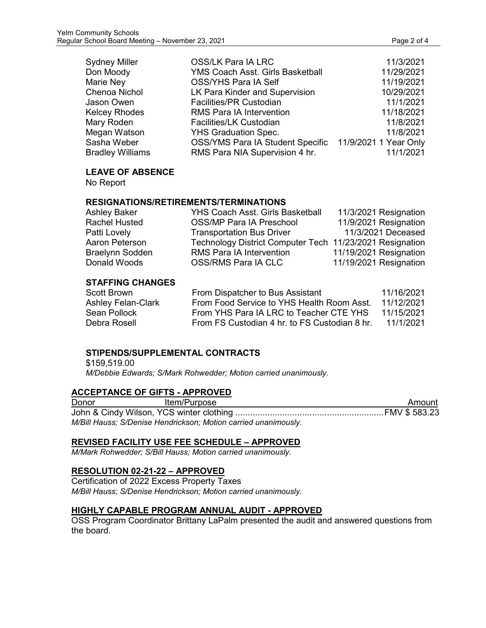| <b>Sydney Miller</b> | <b>OSS/LK Para IA LRC</b>                              | 11/3/2021  |
|----------------------|--------------------------------------------------------|------------|
| Don Moody            | <b>YMS Coach Asst. Girls Basketball</b>                | 11/29/2021 |
| Marie Ney            | <b>OSS/YHS Para IA Self</b>                            | 11/19/2021 |
| Chenoa Nichol        | LK Para Kinder and Supervision                         | 10/29/2021 |
| Jason Owen           | Facilities/PR Custodian                                | 11/1/2021  |
| <b>Kelcey Rhodes</b> | <b>RMS Para IA Intervention</b>                        | 11/18/2021 |
| Mary Roden           | Facilities/LK Custodian                                | 11/8/2021  |
| Megan Watson         | <b>YHS Graduation Spec.</b>                            | 11/8/2021  |
| Sasha Weber          | OSS/YMS Para IA Student Specific 11/9/2021 1 Year Only |            |

## **LEAVE OF ABSENCE**

No Report

#### **RESIGNATIONS/RETIREMENTS/TERMINATIONS**

| <b>Ashley Baker</b>    | <b>YHS Coach Asst. Girls Basketball</b>                  | 11/3/2021 Resignation  |
|------------------------|----------------------------------------------------------|------------------------|
| <b>Rachel Husted</b>   | <b>OSS/MP Para IA Preschool</b>                          | 11/9/2021 Resignation  |
| Patti Lovely           | <b>Transportation Bus Driver</b>                         | 11/3/2021 Deceased     |
| Aaron Peterson         | Technology District Computer Tech 11/23/2021 Resignation |                        |
| <b>Braelynn Sodden</b> | RMS Para IA Intervention                                 | 11/19/2021 Resignation |
| Donald Woods           | OSS/RMS Para IA CLC                                      | 11/19/2021 Resignation |

Bradley Williams RMS Para NIA Supervision 4 hr. 11/1/2021

#### **STAFFING CHANGES**

| Scott Brown               | From Dispatcher to Bus Assistant              | 11/16/2021 |
|---------------------------|-----------------------------------------------|------------|
| <b>Ashley Felan-Clark</b> | From Food Service to YHS Health Room Asst.    | 11/12/2021 |
| Sean Pollock              | From YHS Para IA LRC to Teacher CTE YHS       | 11/15/2021 |
| Debra Rosell              | From FS Custodian 4 hr. to FS Custodian 8 hr. | 11/1/2021  |

## **STIPENDS/SUPPLEMENTAL CONTRACTS**

\$159,519.00 *M/Debbie Edwards; S/Mark Rohwedder; Motion carried unanimously.*

## **ACCEPTANCE OF GIFTS - APPROVED**

Donor Item/Purpose **Item/Purpose** Amount John & Cindy Wilson, YCS winter clothing ............................................................FMV \$ 583.23 *M/Bill Hauss; S/Denise Hendrickson; Motion carried unanimously.*

#### **REVISED FACILITY USE FEE SCHEDULE – APPROVED**

*M/Mark Rohwedder; S/Bill Hauss; Motion carried unanimously.*

## **RESOLUTION 02-21-22 – APPROVED**

Certification of 2022 Excess Property Taxes *M/Bill Hauss; S/Denise Hendrickson; Motion carried unanimously.*

## **HIGHLY CAPABLE PROGRAM ANNUAL AUDIT - APPROVED**

OSS Program Coordinator Brittany LaPalm presented the audit and answered questions from the board.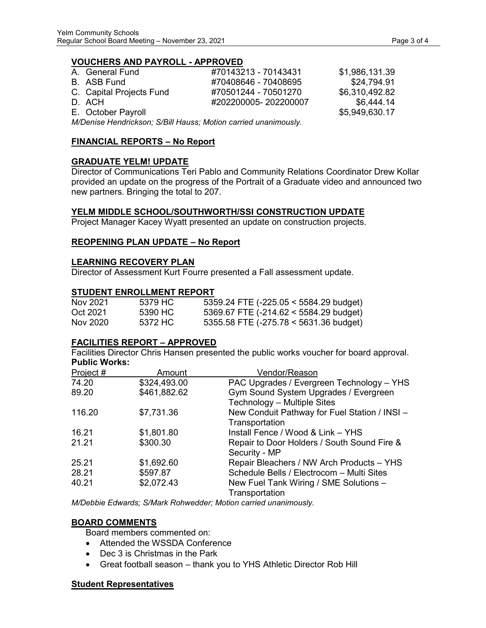## **VOUCHERS AND PAYROLL - APPROVED**

| A. General Fund          | #70143213 - 70143431 | \$1,986,131.39 |
|--------------------------|----------------------|----------------|
| B. ASB Fund              | #70408646 - 70408695 | \$24,794.91    |
| C. Capital Projects Fund | #70501244 - 70501270 | \$6,310,492.82 |
| D. ACH                   | #202200005-202200007 | \$6.444.14     |
| E. October Payroll       |                      | \$5,949,630.17 |

*M/Denise Hendrickson; S/Bill Hauss; Motion carried unanimously.*

## **FINANCIAL REPORTS – No Report**

## **GRADUATE YELM! UPDATE**

Director of Communications Teri Pablo and Community Relations Coordinator Drew Kollar provided an update on the progress of the Portrait of a Graduate video and announced two new partners. Bringing the total to 207.

## **YELM MIDDLE SCHOOL/SOUTHWORTH/SSI CONSTRUCTION UPDATE**

Project Manager Kacey Wyatt presented an update on construction projects.

## **REOPENING PLAN UPDATE – No Report**

## **LEARNING RECOVERY PLAN**

Director of Assessment Kurt Fourre presented a Fall assessment update.

## **STUDENT ENROLLMENT REPORT**

| Nov 2021 | 5379 HC | 5359.24 FTE $(-225.05 \le 5584.29 \text{ budget})$ |
|----------|---------|----------------------------------------------------|
| Oct 2021 | 5390 HC | $5369.67$ FTE (-214.62 < 5584.29 budget)           |
| Nov 2020 | 5372 HC | 5355.58 FTE (-275.78 < 5631.36 budget)             |

## **FACILITIES REPORT – APPROVED**

Facilities Director Chris Hansen presented the public works voucher for board approval. **Public Works:**

| Project # | Amount       | Vendor/Reason                                                        |
|-----------|--------------|----------------------------------------------------------------------|
| 74.20     | \$324,493.00 | PAC Upgrades / Evergreen Technology - YHS                            |
| 89.20     | \$461,882.62 | Gym Sound System Upgrades / Evergreen<br>Technology - Multiple Sites |
| 116.20    | \$7,731.36   | New Conduit Pathway for Fuel Station / INSI -<br>Transportation      |
| 16.21     | \$1,801.80   | Install Fence / Wood & Link - YHS                                    |
| 21.21     | \$300.30     | Repair to Door Holders / South Sound Fire &<br>Security - MP         |
| 25.21     | \$1,692.60   | Repair Bleachers / NW Arch Products - YHS                            |
| 28.21     | \$597.87     | Schedule Bells / Electrocom - Multi Sites                            |
| 40.21     | \$2,072.43   | New Fuel Tank Wiring / SME Solutions -<br>Transportation             |

*M/Debbie Edwards; S/Mark Rohwedder; Motion carried unanimously.*

## **BOARD COMMENTS**

Board members commented on:

- Attended the WSSDA Conference
- Dec 3 is Christmas in the Park
- Great football season thank you to YHS Athletic Director Rob Hill

## **Student Representatives**